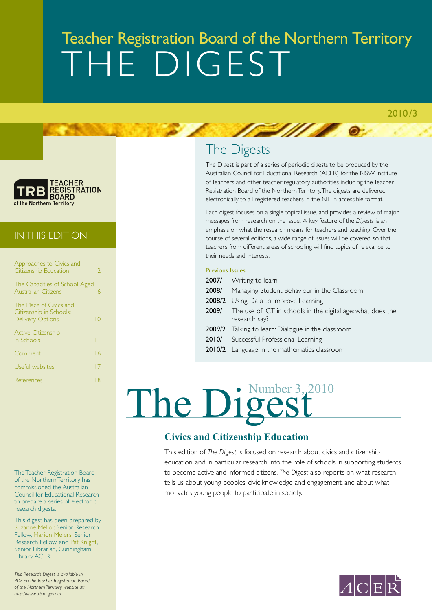### Teacher Registration Board of the Northern Territory THE DIGEST

 $\bullet$ 



#### IN THIS edition

| Approaches to Civics and<br>Citizenship Education                             | 2               |
|-------------------------------------------------------------------------------|-----------------|
| The Capacities of School-Aged<br><b>Australian Citizens</b>                   | 6               |
| The Place of Civics and<br>Citizenship in Schools:<br><b>Delivery Options</b> | $\overline{10}$ |
| <b>Active Citizenship</b><br>in Schools                                       | П               |
| Comment                                                                       | 16              |
| Useful websites                                                               | 17              |
| References                                                                    | 8               |
|                                                                               |                 |

The Teacher Registration Board of the Northern Territory has commissioned the Australian Council for Educational Research to prepare a series of electronic research digests.

This digest has been prepared by Suzanne Mellor, Senior Research Fellow, Marion Meiers, Senior Research Fellow, and Pat Knight, Senior Librarian, Cunningham Library, ACER.

*This Research Digest is available in PDF on the Teacher Registration Board of the Northern Territory website at: http://www.trb.nt.gov.au/*

### The Digests

**EXAMPLE** 

The Digest is part of a series of periodic digests to be produced by the Australian Council for Educational Research (ACER) for the NSW Institute of Teachers and other teacher regulatory authorities including the Teacher Registration Board of the Northern Territory. The digests are delivered electronically to all registered teachers in the NT in accessible format.

Each digest focuses on a single topical issue, and provides a review of major messages from research on the issue. A key feature of the *Digests* is an emphasis on what the research means for teachers and teaching. Over the course of several editions, a wide range of issues will be covered, so that teachers from different areas of schooling will find topics of relevance to their needs and interests.

#### Previous Issues

- 2007/1 Writing to learn
- 2008/1 Managing Student Behaviour in the Classroom
- 2008/2 Using Data to Improve Learning
- 2009/1 The use of ICT in schools in the digital age: what does the research say?
- 2009/2 Talking to learn: Dialogue in the classroom
- 2010/1 Successful Professional Learning
- 2010/2 Language in the mathematics classroom

# The Digest

#### **Civics and Citizenship Education**

This edition of *The Digest* is focused on research about civics and citizenship education, and in particular, research into the role of schools in supporting students to become active and informed citizens. *The Digest* also reports on what research tells us about young peoples' civic knowledge and engagement, and about what motivates young people to participate in society.

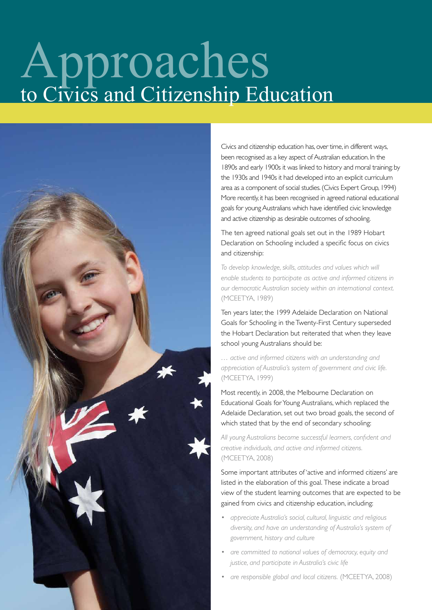# Approaches to Civics and Citizenship Education



Civics and citizenship education has, over time, in different ways, been recognised as a key aspect of Australian education. In the 1890s and early 1900s it was linked to history and moral training; by the 1930s and 1940s it had developed into an explicit curriculum area as a component of social studies. (Civics Expert Group, 1994) More recently, it has been recognised in agreed national educational goals for young Australians which have identified civic knowledge and active citizenship as desirable outcomes of schooling.

The ten agreed national goals set out in the 1989 Hobart Declaration on Schooling included a specific focus on civics and citizenship:

*To develop knowledge, skills, attitudes and values which will enable students to participate as active and informed citizens in our democratic Australian society within an international context.*  (MCEETYA, 1989)

Ten years later, the 1999 Adelaide Declaration on National Goals for Schooling in the Twenty-First Century superseded the Hobart Declaration but reiterated that when they leave school young Australians should be:

*… active and informed citizens with an understanding and appreciation of Australia's system of government and civic life.*  (MCEETYA, 1999)

Most recently, in 2008, the Melbourne Declaration on Educational Goals for Young Australians, which replaced the Adelaide Declaration, set out two broad goals, the second of which stated that by the end of secondary schooling:

*All young Australians become successful learners, confident and creative individuals, and active and informed citizens.*  (MCEETYA, 2008)

Some important attributes of 'active and informed citizens' are listed in the elaboration of this goal. These indicate a broad view of the student learning outcomes that are expected to be gained from civics and citizenship education, including:

- *appreciate Australia's social, cultural, linguistic and religious diversity, and have an understanding of Australia's system of government, history and culture*
- *are committed to national values of democracy, equity and justice, and participate in Australia's civic life*
- *are responsible global and local citizens.* (MCEETYA, 2008)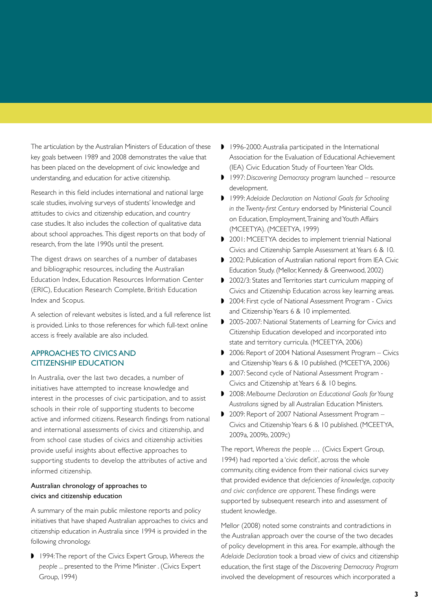The articulation by the Australian Ministers of Education of these key goals between 1989 and 2008 demonstrates the value that has been placed on the development of civic knowledge and understanding, and education for active citizenship.

Research in this field includes international and national large scale studies, involving surveys of students' knowledge and attitudes to civics and citizenship education, and country case studies. It also includes the collection of qualitative data about school approaches. This digest reports on that body of research, from the late 1990s until the present.

The digest draws on searches of a number of databases and bibliographic resources, including the Australian Education Index, Education Resources Information Center (ERIC), Education Research Complete, British Education Index and Scopus.

A selection of relevant websites is listed, and a full reference list is provided. Links to those references for which full-text online access is freely available are also included.

#### APPROACHES TO CIVICS AND CITIZENSHIP EDUCATION

In Australia, over the last two decades, a number of initiatives have attempted to increase knowledge and interest in the processes of civic participation, and to assist schools in their role of supporting students to become active and informed citizens. Research findings from national and international assessments of civics and citizenship, and from school case studies of civics and citizenship activities provide useful insights about effective approaches to supporting students to develop the attributes of active and informed citizenship.

#### Australian chronology of approaches to civics and citizenship education

A summary of the main public milestone reports and policy initiatives that have shaped Australian approaches to civics and citizenship education in Australia since 1994 is provided in the following chronology.

◗ 1994: The report of the Civics Expert Group, *Whereas the people ...* presented to the Prime Minister . (Civics Expert Group, 1994)

- 1996-2000: Australia participated in the International Association for the Evaluation of Educational Achievement (IEA) Civic Education Study of Fourteen Year Olds.
- ◗ 1997: *Discovering Democracy* program launched resource development.
- ◗ 1999: *Adelaide Declaration on National Goals for Schooling in the Twenty-first Century* endorsed by Ministerial Council on Education, Employment, Training and Youth Affairs (MCEETYA). (MCEETYA, 1999)
- ◗ 2001: MCEETYA decides to implement triennial National Civics and Citizenship Sample Assessment at Years 6 & 10.
- 2002: Publication of Australian national report from IEA Civic Education Study. (Mellor, Kennedy & Greenwood, 2002)
- ◗ 2002/3: States and Territories start curriculum mapping of Civics and Citizenship Education across key learning areas.
- ◗ 2004: First cycle of National Assessment Program Civics and Citizenship Years 6 & 10 implemented.
- ◗ 2005-2007: National Statements of Learning for Civics and Citizenship Education developed and incorporated into state and territory curricula. (MCEETYA, 2006)
- ◗ 2006: Report of 2004 National Assessment Program Civics and Citizenship Years 6 & 10 published. (MCEETYA, 2006)
- ◗ 2007: Second cycle of National Assessment Program Civics and Citizenship at Years 6 & 10 begins.
- ◗ 2008: *Melbourne Declaration on Educational Goals for Young Australians* signed by all Australian Education Ministers.
- ◗ 2009: Report of 2007 National Assessment Program Civics and Citizenship Years 6 & 10 published. (MCEETYA, 2009a, 2009b, 2009c)

The report, *Whereas the people …* (Civics Expert Group, 1994) had reported a 'civic deficit', across the whole community, citing evidence from their national civics survey that provided evidence that *deficiencies of knowledge, capacity and civic confidence are apparent*. These findings were supported by subsequent research into and assessment of student knowledge.

Mellor (2008) noted some constraints and contradictions in the Australian approach over the course of the two decades of policy development in this area. For example, although the *Adelaide Declaration* took a broad view of civics and citizenship education, the first stage of the *Discovering Democracy Program* involved the development of resources which incorporated a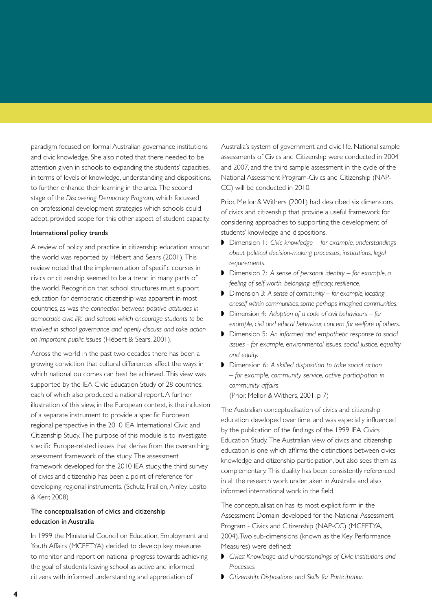paradigm focused on formal Australian governance institutions and civic knowledge. She also noted that there needed to be attention given in schools to expanding the students' capacities, in terms of levels of knowledge, understanding and dispositions, to further enhance their learning in the area. The second stage of the *Discovering Democracy Program*, which focussed on professional development strategies which schools could adopt, provided scope for this other aspect of student capacity.

#### International policy trends

A review of policy and practice in citizenship education around the world was reported by Hébert and Sears (2001). This review noted that the implementation of specific courses in civics or citizenship seemed to be a trend in many parts of the world. Recognition that school structures must support education for democratic citizenship was apparent in most countries, as was *the connection between positive attitudes in democratic civic life and schools which encourage students to be involved in school governance and openly discuss and take action on important public issues* (Hébert & Sears, 2001).

Across the world in the past two decades there has been a growing conviction that cultural differences affect the ways in which national outcomes can best be achieved. This view was supported by the IEA Civic Education Study of 28 countries, each of which also produced a national report. A further illustration of this view, in the European context, is the inclusion of a separate instrument to provide a specific European regional perspective in the 2010 IEA International Civic and Citizenship Study. The purpose of this module is to investigate specific Europe-related issues that derive from the overarching assessment framework of the study. The assessment framework developed for the 2010 IEA study, the third survey of civics and citizenship has been a point of reference for developing regional instruments. (Schulz, Fraillon, Ainley, Losito & Kerr, 2008)

#### The conceptualisation of civics and citizenship education in Australia

In 1999 the Ministerial Council on Education, Employment and Youth Affairs (MCEETYA) decided to develop key measures to monitor and report on national progress towards achieving the goal of students leaving school as active and informed citizens with informed understanding and appreciation of

Australia's system of government and civic life. National sample assessments of Civics and Citizenship were conducted in 2004 and 2007, and the third sample assessment in the cycle of the National Assessment Program-Civics and Citizenship (NAP-CC) will be conducted in 2010.

Prior, Mellor & Withers (2001) had described six dimensions of civics and citizenship that provide a useful framework for considering approaches to supporting the development of students' knowledge and dispositions.

- ◗ Dimension 1: *Civic knowledge for example, understandings about political decision-making processes, institutions, legal requirements.*
- ◗ Dimension 2: *A sense of personal identity for example, a feeling of self worth, belonging, efficacy, resilience.*
- ◗ Dimension 3: *A sense of community for example, locating oneself within communities, some perhaps imagined communities.*
- ◗ Dimension 4: *Adoption of a code of civil behaviours for example, civil and ethical behaviour, concern for welfare of others.*
- ◗ Dimension 5: *An informed and empathetic response to social issues - for example, environmental issues, social justice, equality and equity.*
- ◗ Dimension 6: *A skilled disposition to take social action – for example, community service, active participation in community affairs.*  (Prior, Mellor & Withers, 2001, p 7)

The Australian conceptualisation of civics and citizenship education developed over time, and was especially influenced by the publication of the findings of the 1999 IEA Civics Education Study. The Australian view of civics and citizenship education is one which affirms the distinctions between civics knowledge and citizenship participation, but also sees them as complementary. This duality has been consistently referenced in all the research work undertaken in Australia and also informed international work in the field.

The conceptualisation has its most explicit form in the Assessment Domain developed for the National Assessment Program - Civics and Citizenship (NAP-CC) (MCEETYA, 2004). Two sub-dimensions (known as the Key Performance Measures) were defined:

- ◗ *Civics: Knowledge and Understandings of Civic Institutions and Processes*
- ◗ *Citizenship: Dispositions and Skills for Participation*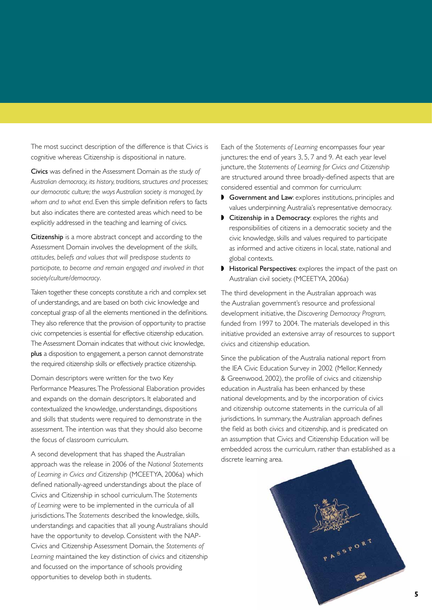The most succinct description of the difference is that Civics is cognitive whereas Citizenship is dispositional in nature.

Civics was defined in the Assessment Domain as *the study of Australian democracy, its history, traditions, structures and processes; our democratic culture; the ways Australian society is managed, by whom and to what end*. Even this simple definition refers to facts but also indicates there are contested areas which need to be explicitly addressed in the teaching and learning of civics.

Citizenship is a more abstract concept and according to the Assessment Domain involves the development of *the skills, attitudes, beliefs and values that will predispose students to participate, to become and remain engaged and involved in that society/culture/democracy*.

Taken together these concepts constitute a rich and complex set of understandings, and are based on both civic knowledge and conceptual grasp of all the elements mentioned in the definitions. They also reference that the provision of opportunity to practise civic competencies is essential for effective citizenship education. The Assessment Domain indicates that without civic knowledge, plus a disposition to engagement, a person cannot demonstrate the required citizenship skills or effectively practice citizenship.

Domain descriptors were written for the two Key Performance Measures. The Professional Elaboration provides and expands on the domain descriptors. It elaborated and contextualized the knowledge, understandings, dispositions and skills that students were required to demonstrate in the assessment. The intention was that they should also become the focus of classroom curriculum.

A second development that has shaped the Australian approach was the release in 2006 of the *National Statements of Learning in Civics and Citizenship* (MCEETYA, 2006a) which defined nationally-agreed understandings about the place of Civics and Citizenship in school curriculum. The *Statements of Learning* were to be implemented in the curricula of all jurisdictions. The *Statements* described the knowledge, skills, understandings and capacities that all young Australians should have the opportunity to develop. Consistent with the NAP-Civics and Citizenship Assessment Domain, the *Statements of Learning* maintained the key distinction of civics and citizenship and focussed on the importance of schools providing opportunities to develop both in students.

Each of the *Statements of Learning* encompasses four year junctures: the end of years 3, 5, 7 and 9. At each year level juncture, the *Statements of Learning for Civics and Citizenship* are structured around three broadly-defined aspects that are considered essential and common for curriculum:

- ◗ Government and Law: explores institutions, principles and values underpinning Australia's representative democracy.
- ◗ Citizenship in a Democracy: explores the rights and responsibilities of citizens in a democratic society and the civic knowledge, skills and values required to participate as informed and active citizens in local, state, national and global contexts.
- Historical Perspectives: explores the impact of the past on Australian civil society. (MCEETYA, 2006a)

The third development in the Australian approach was the Australian government's resource and professional development initiative, the *Discovering Democracy Program,* funded from 1997 to 2004. The materials developed in this initiative provided an extensive array of resources to support civics and citizenship education.

Since the publication of the Australia national report from the IEA Civic Education Survey in 2002 (Mellor, Kennedy & Greenwood, 2002), the profile of civics and citizenship education in Australia has been enhanced by these national developments, and by the incorporation of civics and citizenship outcome statements in the curricula of all jurisdictions. In summary, the Australian approach defines the field as both civics and citizenship, and is predicated on an assumption that Civics and Citizenship Education will be embedded across the curriculum, rather than established as a discrete learning area.

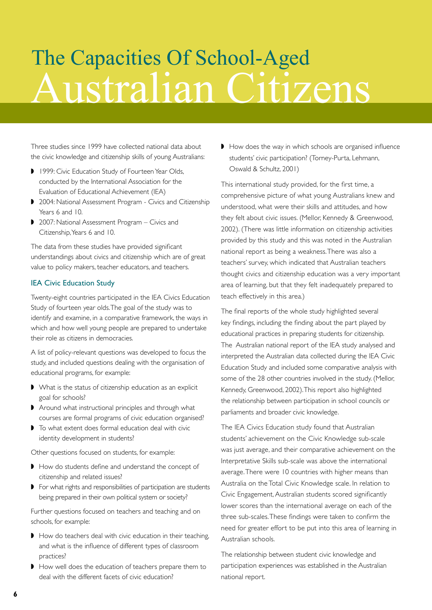## Australian Citizens The Capacities Of School-Aged

Three studies since 1999 have collected national data about the civic knowledge and citizenship skills of young Australians:

- ◗ 1999: Civic Education Study of Fourteen Year Olds, conducted by the International Association for the Evaluation of Educational Achievement (IEA)
- ◗ 2004: National Assessment Program Civics and Citizenship Years 6 and 10.
- ◗ 2007: National Assessment Program Civics and Citizenship, Years 6 and 10.

The data from these studies have provided significant understandings about civics and citizenship which are of great value to policy makers, teacher educators, and teachers.

#### IEA Civic Education Study

Twenty-eight countries participated in the IEA Civics Education Study of fourteen year olds. The goal of the study was to identify and examine, in a comparative framework, the ways in which and how well young people are prepared to undertake their role as citizens in democracies.

A list of policy-relevant questions was developed to focus the study, and included questions dealing with the organisation of educational programs, for example:

- ◗ What is the status of citizenship education as an explicit goal for schools?
- ◗ Around what instructional principles and through what courses are formal programs of civic education organised?
- ◗ To what extent does formal education deal with civic identity development in students?

Other questions focused on students, for example:

- ◗ How do students define and understand the concept of citizenship and related issues?
- ◗ For what rights and responsibilities of participation are students being prepared in their own political system or society?

Further questions focused on teachers and teaching and on schools, for example:

- ◗ How do teachers deal with civic education in their teaching, and what is the influence of different types of classroom practices?
- ◗ How well does the education of teachers prepare them to deal with the different facets of civic education?

◗ How does the way in which schools are organised influence students' civic participation? (Torney-Purta, Lehmann, Oswald & Schultz, 2001)

This international study provided, for the first time, a comprehensive picture of what young Australians knew and understood, what were their skills and attitudes, and how they felt about civic issues. (Mellor, Kennedy & Greenwood, 2002). (There was little information on citizenship activities provided by this study and this was noted in the Australian national report as being a weakness. There was also a teachers' survey, which indicated that Australian teachers thought civics and citizenship education was a very important area of learning, but that they felt inadequately prepared to teach effectively in this area.)

The final reports of the whole study highlighted several key findings, including the finding about the part played by educational practices in preparing students for citizenship. The Australian national report of the IEA study analysed and interpreted the Australian data collected during the IEA Civic Education Study and included some comparative analysis with some of the 28 other countries involved in the study. (Mellor, Kennedy, Greenwood, 2002). This report also highlighted the relationship between participation in school councils or parliaments and broader civic knowledge.

The IEA Civics Education study found that Australian students' achievement on the Civic Knowledge sub-scale was just average, and their comparative achievement on the Interpretative Skills sub-scale was above the international average. There were 10 countries with higher means than Australia on the Total Civic Knowledge scale. In relation to Civic Engagement, Australian students scored significantly lower scores than the international average on each of the three sub-scales. These findings were taken to confirm the need for greater effort to be put into this area of learning in Australian schools.

The relationship between student civic knowledge and participation experiences was established in the Australian national report.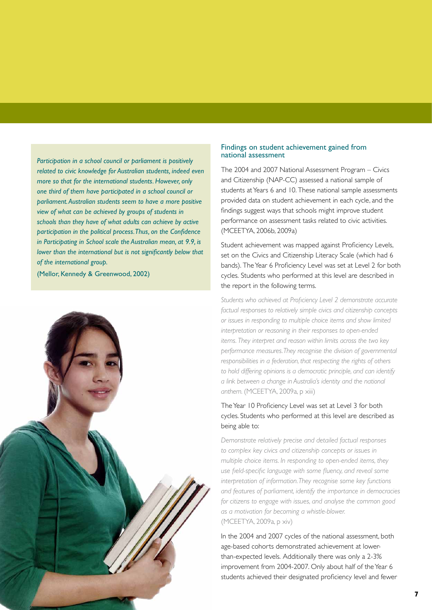*Participation in a school council or parliament is positively related to civic knowledge for Australian students, indeed even more so that for the international students. However, only one third of them have participated in a school council or parliament. Australian students seem to have a more positive view of what can be achieved by groups of students in schools than they have of what adults can achieve by active participation in the political process. Thus, on the Confidence in Participating in School scale the Australian mean, at 9.9, is lower than the international but is not significantly below that of the international group.* 

(Mellor, Kennedy & Greenwood, 2002)



#### Findings on student achievement gained from national assessment

The 2004 and 2007 National Assessment Program – Civics and Citizenship (NAP-CC) assessed a national sample of students at Years 6 and 10. These national sample assessments provided data on student achievement in each cycle, and the findings suggest ways that schools might improve student performance on assessment tasks related to civic activities. (MCEETYA, 2006b, 2009a)

Student achievement was mapped against Proficiency Levels, set on the Civics and Citizenship Literacy Scale (which had 6 bands). The Year 6 Proficiency Level was set at Level 2 for both cycles. Students who performed at this level are described in the report in the following terms.

*Students who achieved at Proficiency Level 2 demonstrate accurate factual responses to relatively simple civics and citizenship concepts or issues in responding to multiple choice items and show limited interpretation or reasoning in their responses to open-ended items. They interpret and reason within limits across the two key performance measures. They recognise the division of governmental responsibilities in a federation, that respecting the rights of others to hold differing opinions is a democratic principle, and can identify a link between a change in Australia's identity and the national anthem.* (MCEETYA, 2009a, p xiii)

#### The Year 10 Proficiency Level was set at Level 3 for both cycles. Students who performed at this level are described as being able to:

*Demonstrate relatively precise and detailed factual responses to complex key civics and citizenship concepts or issues in multiple choice items. In responding to open-ended items, they use field-specific language with some fluency, and reveal some interpretation of information. They recognise some key functions and features of parliament, identify the importance in democracies for citizens to engage with issues, and analyse the common good as a motivation for becoming a whistle-blower.*  (MCEETYA, 2009a, p xiv)

In the 2004 and 2007 cycles of the national assessment, both age-based cohorts demonstrated achievement at lowerthan-expected levels. Additionally there was only a 2-3% improvement from 2004-2007. Only about half of the Year 6 students achieved their designated proficiency level and fewer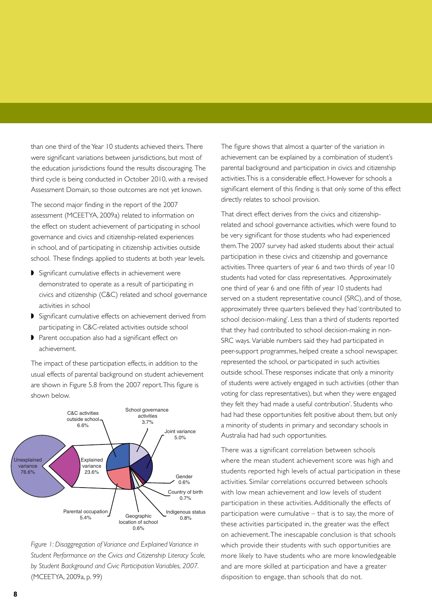than one third of the Year 10 students achieved theirs. There were significant variations between jurisdictions, but most of the education jurisdictions found the results discouraging. The third cycle is being conducted in October 2010, with a revised Assessment Domain, so those outcomes are not yet known.

The second major finding in the report of the 2007 assessment (MCEETYA, 2009a) related to information on the effect on student achievement of participating in school governance and civics and citizenship-related experiences in school, and of participating in citizenship activities outside school. These findings applied to students at both year levels.

- ◗ Significant cumulative effects in achievement were demonstrated to operate as a result of participating in civics and citizenship (C&C) related and school governance activities in school
- ◗ Significant cumulative effects on achievement derived from participating in C&C-related activities outside school
- ◗ Parent occupation also had a significant effect on achievement.

The impact of these participation effects, in addition to the usual effects of parental background on student achievement are shown in Figure 5.8 from the 2007 report. This figure is shown below.





The figure shows that almost a quarter of the variation in achievement can be explained by a combination of student's parental background and participation in civics and citizenship activities. This is a considerable effect. However for schools a significant element of this finding is that only some of this effect directly relates to school provision.

That direct effect derives from the civics and citizenshiprelated and school governance activities, which were found to be very significant for those students who had experienced them. The 2007 survey had asked students about their actual participation in these civics and citizenship and governance activities. Three quarters of year 6 and two thirds of year 10 students had voted for class representatives. Approximately one third of year 6 and one fifth of year 10 students had served on a student representative council (SRC), and of those, approximately three quarters believed they had 'contributed to school decision-making'. Less than a third of students reported that they had contributed to school decision-making in non-SRC ways. Variable numbers said they had participated in peer-support programmes, helped create a school newspaper, represented the school, or participated in such activities outside school. These responses indicate that only a minority of students were actively engaged in such activities (other than voting for class representatives), but when they were engaged they felt they 'had made a useful contribution'. Students who had had these opportunities felt positive about them, but only a minority of students in primary and secondary schools in Australia had had such opportunities.

There was a significant correlation between schools where the mean student achievement score was high and students reported high levels of actual participation in these activities. Similar correlations occurred between schools with low mean achievement and low levels of student participation in these activities. Additionally the effects of participation were cumulative – that is to say, the more of these activities participated in, the greater was the effect on achievement. The inescapable conclusion is that schools which provide their students with such opportunities are more likely to have students who are more knowledgeable and are more skilled at participation and have a greater disposition to engage, than schools that do not.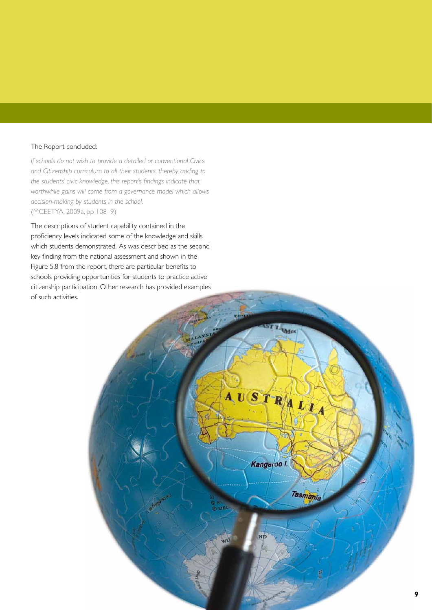#### The Report concluded:

*If schools do not wish to provide a detailed or conventional Civics and Citizenship curriculum to all their students, thereby adding to the students' civic knowledge, this report's findings indicate that worthwhile gains will come from a governance model which allows decision-making by students in the school.* (MCEETYA, 2009a, pp 108–9)

The descriptions of student capability contained in the proficiency levels indicated some of the knowledge and skills which students demonstrated. As was described as the second key finding from the national assessment and shown in the Figure 5.8 from the report, there are particular benefits to schools providing opportunities for students to practice active citizenship participation. Other research has provided examples of such activities.

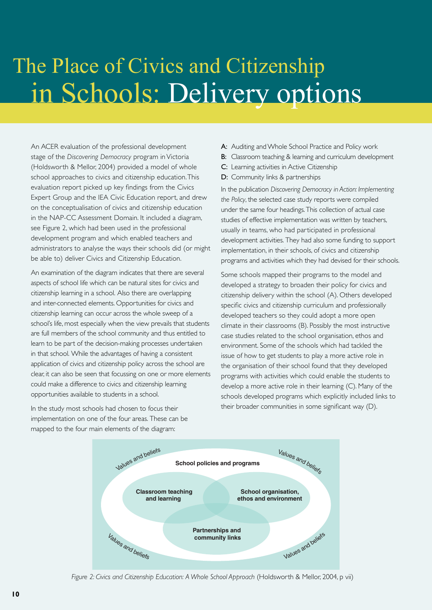### in Schools: Delivery options The Place of Civics and Citizenship

An ACER evaluation of the professional development stage of the *Discovering Democracy* program in Victoria (Holdsworth & Mellor, 2004) provided a model of whole school approaches to civics and citizenship education. This evaluation report picked up key findings from the Civics Expert Group and the IEA Civic Education report, and drew on the conceptualisation of civics and citizenship education in the NAP-CC Assessment Domain. It included a diagram, see Figure 2, which had been used in the professional development program and which enabled teachers and administrators to analyse the ways their schools did (or might be able to) deliver Civics and Citizenship Education.

An examination of the diagram indicates that there are several aspects of school life which can be natural sites for civics and citizenship learning in a school. Also there are overlapping and inter-connected elements. Opportunities for civics and citizenship learning can occur across the whole sweep of a school's life, most especially when the view prevails that students are full members of the school community and thus entitled to learn to be part of the decision-making processes undertaken in that school. While the advantages of having a consistent application of civics and citizenship policy across the school are clear, it can also be seen that focussing on one or more elements could make a difference to civics and citizenship learning opportunities available to students in a school.

In the study most schools had chosen to focus their implementation on one of the four areas. These can be mapped to the four main elements of the diagram:

- A: Auditing and Whole School Practice and Policy work
- **B:** Classroom teaching & learning and curriculum development
- C: Learning activities in Active Citizenship
- D: Community links & partnerships

In the publication *Discovering Democracy in Action: Implementing the Policy*, the selected case study reports were compiled under the same four headings. This collection of actual case studies of effective implementation was written by teachers, usually in teams, who had participated in professional development activities. They had also some funding to support implementation, in their schools, of civics and citizenship programs and activities which they had devised for their schools.

Some schools mapped their programs to the model and developed a strategy to broaden their policy for civics and citizenship delivery within the school (A). Others developed specific civics and citizenship curriculum and professionally developed teachers so they could adopt a more open climate in their classrooms (B). Possibly the most instructive case studies related to the school organisation, ethos and environment. Some of the schools which had tackled the issue of how to get students to play a more active role in the organisation of their school found that they developed programs with activities which could enable the students to develop a more active role in their learning (C). Many of the schools developed programs which explicitly included links to their broader communities in some significant way (D).



*Figure 2: Civics and Citizenship Education: A Whole School Approach* (Holdsworth & Mellor, 2004, p vii)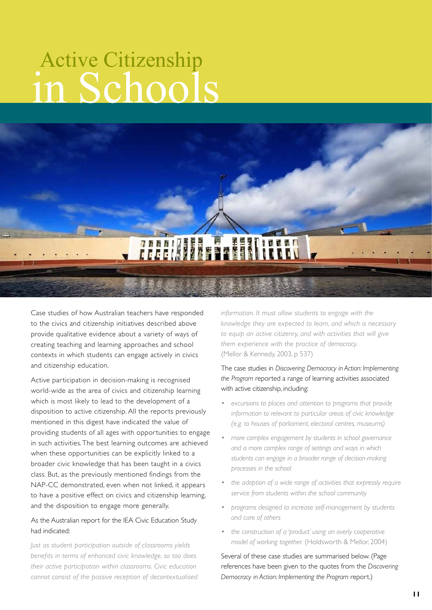## in Schools Active Citizenship



Case studies of how Australian teachers have responded to the civics and citizenship initiatives described above provide qualitative evidence about a variety of ways of creating teaching and learning approaches and school contexts in which students can engage actively in civics and citizenship education.

Active participation in decision-making is recognised world-wide as the area of civics and citizenship learning which is most likely to lead to the development of a disposition to active citizenship. All the reports previously mentioned in this digest have indicated the value of providing students of all ages with opportunities to engage in such activities. The best learning outcomes are achieved when these opportunities can be explicitly linked to a broader civic knowledge that has been taught in a civics class. But, as the previously mentioned findings from the NAP-CC demonstrated, even when not linked, it appears to have a positive effect on civics and citizenship learning, and the disposition to engage more generally.

#### As the Australian report for the IEA Civic Education Study had indicated:

*Just as student participation outside of classrooms yields benefits in terms of enhanced civic knowledge, so too does their active participation within classrooms. Civic education cannot consist of the passive reception of decontextualised*  *information. It must allow students to engage with the knowledge they are expected to learn, and which is necessary to equip an active citizenry, and with activities that will give them experience with the practice of democracy.*  (Mellor & Kennedy, 2003, p 537)

#### The case studies in *Discovering Democracy in Action: Implementing the Program* reported a range of learning activities associated with active citizenship, including:

- *excursions to places and attention to programs that provide information to relevant to particular areas of civic knowledge (e.g. to houses of parliament, electoral centres, museums)*
- *more complex engagement by students in school governance and a more complex range of settings and ways in which students can engage in a broader range of decision-making processes in the school*
- *the adoption of a wide range of activities that expressly require service from students within the school community*
- *programs designed to increase self-management by students and care of others*
- *the construction of a 'product' using an overly cooperative model of working together.* (Holdsworth & Mellor, 2004)

Several of these case studies are summarised below. (Page references have been given to the quotes from the *Discovering Democracy in Action: Implementing the Program* report.)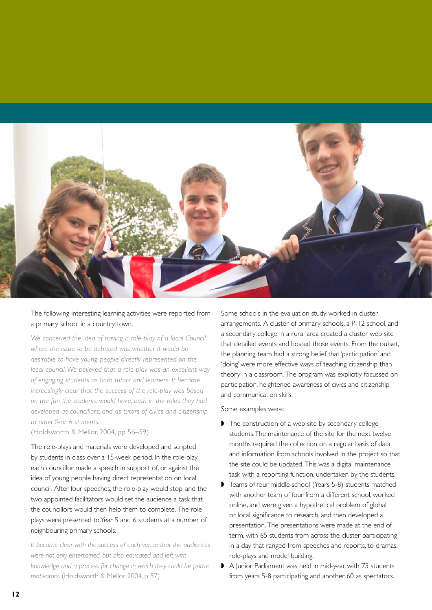

The following interesting learning activities were reported from a primary school in a country town.

*We conceived the idea of having a role-play of a local Council, where the issue to be debated was whether it would be desirable to have young people directly represented on the local council. We believed that a role-play was an excellent way of engaging students as both tutors and learners. It became increasingly clear that the success of the role-play was based on the fun the students would have, both in the roles they had developed as councillors, and as tutors of civics and citizenship to other Year 6 students.* 

(Holdsworth & Mellor, 2004, pp 56–59)

The role-plays and materials were developed and scripted by students in class over a 15-week period. In the role-play each councillor made a speech in support of, or against the idea of young people having direct representation on local council. After four speeches, the role-play would stop, and the two appointed facilitators would set the audience a task that the councillors would then help them to complete. The role plays were presented to Year 5 and 6 students at a number of neighbouring primary schools.

*It became clear with the success of each venue that the audiences were not only entertained, but also educated and left with knowledge and a process for change in which they could be prime motivators.* (Holdsworth & Mellor, 2004, p 57)

Some schools in the evaluation study worked in cluster arrangements. A cluster of primary schools, a P-12 school, and a secondary college in a rural area created a cluster web site that detailed events and hosted those events. From the outset, the planning team had a strong belief that 'participation' and 'doing' were more effective ways of teaching citizenship than theory in a classroom. The program was explicitly focussed on participation, heightened awareness of civics and citizenship and communication skills.

Some examples were:

- ◗ The construction of a web site by secondary college students. The maintenance of the site for the next twelve months required the collection on a regular basis of data and information from schools involved in the project so that the site could be updated. This was a digital maintenance task with a reporting function, undertaken by the students.
- ◗ Teams of four middle school (Years 5-8) students matched with another team of four from a different school, worked online, and were given a hypothetical problem of global or local significance to research, and then developed a presentation. The presentations were made at the end of term, with 65 students from across the cluster participating in a day that ranged from speeches and reports, to dramas, role-plays and model building.
- A Junior Parliament was held in mid-year, with 75 students from years 5-8 participating and another 60 as spectators.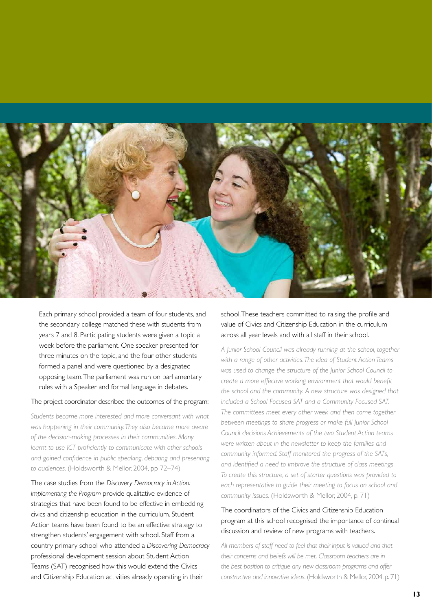

Each primary school provided a team of four students, and the secondary college matched these with students from years 7 and 8. Participating students were given a topic a week before the parliament. One speaker presented for three minutes on the topic, and the four other students formed a panel and were questioned by a designated opposing team. The parliament was run on parliamentary rules with a Speaker and formal language in debates.

#### The project coordinator described the outcomes of the program:

*Students became more interested and more conversant with what was happening in their community. They also became more aware of the decision-making processes in their communities. Many learnt to use ICT proficiently to communicate with other schools and gained confidence in public speaking, debating and presenting to audiences.* (Holdsworth & Mellor, 2004, pp 72–74)

The case studies from the *Discovery Democracy in Action: Implementing the Program* provide qualitative evidence of strategies that have been found to be effective in embedding civics and citizenship education in the curriculum. Student Action teams have been found to be an effective strategy to strengthen students' engagement with school. Staff from a country primary school who attended a *Discovering Democracy* professional development session about Student Action Teams (SAT) recognised how this would extend the Civics and Citizenship Education activities already operating in their

school. These teachers committed to raising the profile and value of Civics and Citizenship Education in the curriculum across all year levels and with all staff in their school.

*A Junior School Council was already running at the school, together with a range of other activities. The idea of Student Action Teams was used to change the structure of the Junior School Council to create a more effective working environment that would benefit the school and the community. A new structure was designed that included a School Focused SAT and a Community Focused SAT. The committees meet every other week and then come together between meetings to share progress or make full Junior School Council decisions Achievements of the two Student Action teams were written about in the newsletter to keep the families and community informed. Staff monitored the progress of the SATs, and identified a need to improve the structure of class meetings. To create this structure, a set of starter questions was provided to each representative to guide their meeting to focus on school and community issues.* (Holdsworth & Mellor, 2004, p. 71)

#### The coordinators of the Civics and Citizenship Education program at this school recognised the importance of continual discussion and review of new programs with teachers.

*All members of staff need to feel that their input is valued and that their concerns and beliefs will be met. Classroom teachers are in the best position to critique any new classroom programs and offer constructive and innovative ideas.* (Holdsworth & Mellor, 2004, p. 71)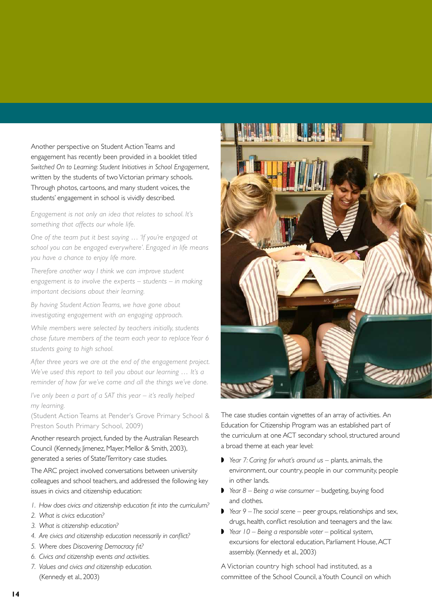Another perspective on Student Action Teams and engagement has recently been provided in a booklet titled *Switched On to Learning: Student Initiatives in School Engagement*, written by the students of two Victorian primary schools. Through photos, cartoons, and many student voices, the students' engagement in school is vividly described.

*Engagement is not only an idea that relates to school. It's something that affects our whole life.*

*One of the team put it best saying … 'If you're engaged at school you can be engaged everywhere'. Engaged in life means you have a chance to enjoy life more.* 

*Therefore another way I think we can improve student engagement is to involve the experts – students – in making important decisions about their learning.* 

*By having Student Action Teams, we have gone about investigating engagement with an engaging approach.*

*While members were selected by teachers initially, students chose future members of the team each year to replace Year 6 students going to high school.* 

*After three years we are at the end of the engagement project. We've used this report to tell you about our learning … It's a reminder of how far we've come and all the things we've done.*

*I've only been a part of a SAT this year – it's really helped my learning.*

(Student Action Teams at Pender's Grove Primary School & Preston South Primary School, 2009)

Another research project, funded by the Australian Research Council (Kennedy, Jimenez, Mayer, Mellor & Smith, 2003), generated a series of State/Territory case studies.

The ARC project involved conversations between university colleagues and school teachers, and addressed the following key issues in civics and citizenship education:

- *1. How does civics and citizenship education fit into the curriculum?*
- *2. What is civics education?*
- *3. What is citizenship education?*
- *4. Are civics and citizenship education necessarily in conflict?*
- *5. Where does Discovering Democracy fit?*
- *6. Civics and citizenship events and activities.*
- *7. Values and civics and citizenship education.*  (Kennedy et al., 2003)



The case studies contain vignettes of an array of activities. An Education for Citizenship Program was an established part of the curriculum at one ACT secondary school, structured around a broad theme at each year level:

- ◗ *Year 7: Caring for what's around us –* plants, animals, the environment, our country, people in our community, people in other lands.
- ◗ *Year 8 Being a wise consumer* budgeting, buying food and clothes.
- ◗ *Year 9 The social scene* peer groups, relationships and sex, drugs, health, conflict resolution and teenagers and the law.
- ◗ *Year 10 Being a responsible voter* political system, excursions for electoral education, Parliament House, ACT assembly. (Kennedy et al., 2003)

A Victorian country high school had instituted, as a committee of the School Council, a Youth Council on which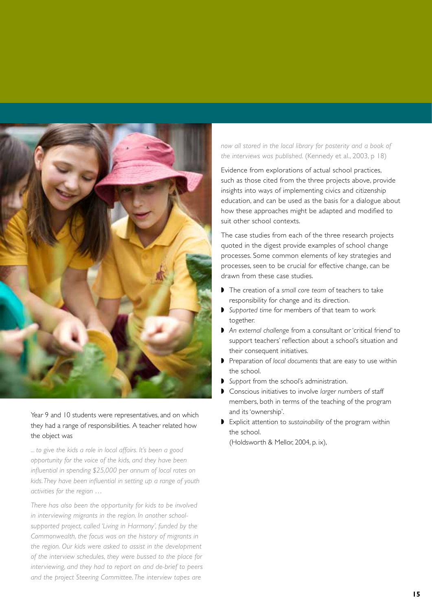

#### Year 9 and 10 students were representatives, and on which they had a range of responsibilities. A teacher related how the object was

*... to give the kids a role in local affairs. It's been a good opportunity for the voice of the kids, and they have been influential in spending \$25,000 per annum of local rates on kids. They have been influential in setting up a range of youth activities for the region …*

*There has also been the opportunity for kids to be involved in interviewing migrants in the region. In another schoolsupported project, called 'Living in Harmony', funded by the Commonwealth, the focus was on the history of migrants in the region. Our kids were asked to assist in the development of the interview schedules, they were bussed to the place for interviewing, and they had to report on and de-brief to peers and the project Steering Committee. The interview tapes are* 

#### *now all stored in the local library for posterity and a book of the interviews was published.* (Kennedy et al., 2003, p 18)

Evidence from explorations of actual school practices, such as those cited from the three projects above, provide insights into ways of implementing civics and citizenship education, and can be used as the basis for a dialogue about how these approaches might be adapted and modified to suit other school contexts.

The case studies from each of the three research projects quoted in the digest provide examples of school change processes. Some common elements of key strategies and processes, seen to be crucial for effective change, can be drawn from these case studies.

- ◗ The creation of a *small core team* of teachers to take responsibility for change and its direction.
- ◗ *Supported time* for members of that team to work together.
- ◗ *An external challenge* from a consultant or 'critical friend' to support teachers' reflection about a school's situation and their consequent initiatives.
- ◗ Preparation of *local documents* that are easy to use within the school.
- ◗ *Support* from the school's administration.
- ◗ Conscious initiatives to involve *larger numbers* of staff members, both in terms of the teaching of the program and its 'ownership'.
- ◗ Explicit attention to *sustainability* of the program within the school.

(Holdsworth & Mellor, 2004, p. ix),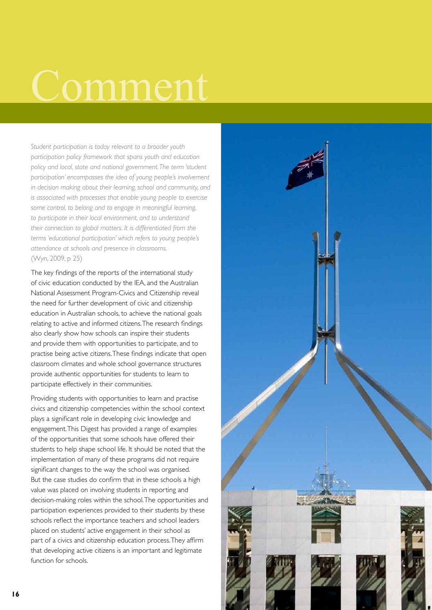# Comment

*Student participation is today relevant to a broader youth participation policy framework that spans youth and education policy and local, state and national government. The term 'student participation' encompasses the idea of young people's involvement in decision making about their learning, school and community, and is associated with processes that enable young people to exercise some control, to belong and to engage in meaningful learning, to participate in their local environment, and to understand their connection to global matters. It is differentiated from the terms 'educational participation' which refers to young people's attendance at schools and presence in classrooms*. (Wyn, 2009, p 25)

The key findings of the reports of the international study of civic education conducted by the IEA, and the Australian National Assessment Program-Civics and Citizenship reveal the need for further development of civic and citizenship education in Australian schools, to achieve the national goals relating to active and informed citizens. The research findings also clearly show how schools can inspire their students and provide them with opportunities to participate, and to practise being active citizens. These findings indicate that open classroom climates and whole school governance structures provide authentic opportunities for students to learn to participate effectively in their communities.

Providing students with opportunities to learn and practise civics and citizenship competencies within the school context plays a significant role in developing civic knowledge and engagement. This Digest has provided a range of examples of the opportunities that some schools have offered their students to help shape school life. It should be noted that the implementation of many of these programs did not require significant changes to the way the school was organised. But the case studies do confirm that in these schools a high value was placed on involving students in reporting and decision-making roles within the school. The opportunities and participation experiences provided to their students by these schools reflect the importance teachers and school leaders placed on students' active engagement in their school as part of a civics and citizenship education process. They affirm that developing active citizens is an important and legitimate function for schools.

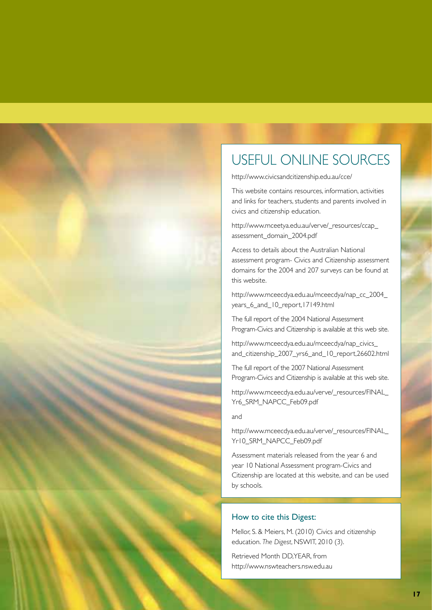### USEFUL ONLINE SOURCES

http://www.civicsandcitizenship.edu.au/cce/

This website contains resources, information, activities and links for teachers, students and parents involved in civics and citizenship education.

http://www.mceetya.edu.au/verve/\_resources/ccap\_ assessment\_domain\_2004.pdf

Access to details about the Australian National assessment program- Civics and Citizenship assessment domains for the 2004 and 207 surveys can be found at this website.

http://www.mceecdya.edu.au/mceecdya/nap\_cc\_2004\_ years 6 and 10 report,17149.html

The full report of the 2004 National Assessment Program-Civics and Citizenship is available at this web site.

http://www.mceecdya.edu.au/mceecdya/nap\_civics\_ and\_citizenship\_2007\_yrs6\_and\_10\_report,26602.html

The full report of the 2007 National Assessment Program-Civics and Citizenship is available at this web site.

http://www.mceecdya.edu.au/verve/\_resources/FINAL\_ Yr6\_SRM\_NAPCC\_Feb09.pdf

and

http://www.mceecdya.edu.au/verve/\_resources/FINAL\_ Yr10\_SRM\_NAPCC\_Feb09.pdf

Assessment materials released from the year 6 and year 10 National Assessment program-Civics and Citizenship are located at this website, and can be used by schools.

#### How to cite this Digest:

Mellor, S. & Meiers, M. (2010) Civics and citizenship education. *The Digest*, NSWIT, 2010 (3).

Retrieved Month DD,YEAR, from http://www.nswteachers.nsw.edu.au